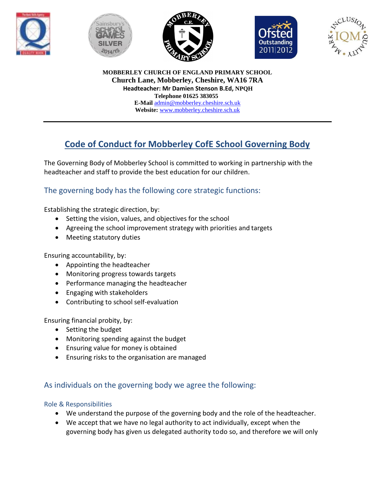









**MOBBERLEY CHURCH OF ENGLAND PRIMARY SCHOOL Church Lane, Mobberley, Cheshire, WA16 7RA Headteacher: Mr Damien Stenson B.Ed, NPQH Telephone 01625 383055 E-Mail** [admin@mobberley.cheshire.sch.uk](mailto:admin@mobberley.cheshire.sch.uk) **Website:** [www.mobberley.cheshire.sch.uk](http://www.mobberley.cheshire.sch.uk/)

# **Code of Conduct for Mobberley CofE School Governing Body**

The Governing Body of Mobberley School is committed to working in partnership with the headteacher and staff to provide the best education for our children.

# The governing body has the following core strategic functions:

Establishing the strategic direction, by:

- Setting the vision, values, and objectives for the school
- Agreeing the school improvement strategy with priorities and targets
- Meeting statutory duties

Ensuring accountability, by:

- Appointing the headteacher
- Monitoring progress towards targets
- Performance managing the headteacher
- Engaging with stakeholders
- Contributing to school self-evaluation

Ensuring financial probity, by:

- Setting the budget
- Monitoring spending against the budget
- Ensuring value for money is obtained
- Ensuring risks to the organisation are managed

# As individuals on the governing body we agree the following:

## Role & Responsibilities

- We understand the purpose of the governing body and the role of the headteacher.
- We accept that we have no legal authority to act individually, except when the governing body has given us delegated authority todo so, and therefore we will only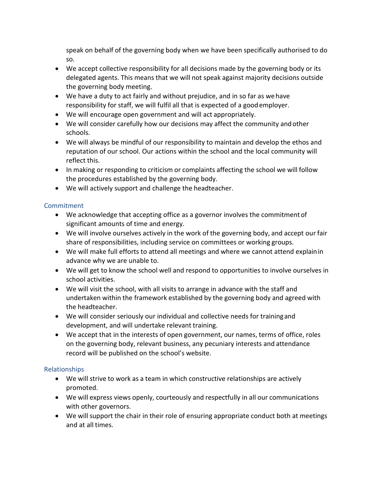speak on behalf of the governing body when we have been specifically authorised to do so.

- We accept collective responsibility for all decisions made by the governing body or its delegated agents. This means that we will not speak against majority decisions outside the governing body meeting.
- We have a duty to act fairly and without prejudice, and in so far as wehave responsibility for staff, we will fulfil all that is expected of a goodemployer.
- We will encourage open government and will act appropriately.
- We will consider carefully how our decisions may affect the community andother schools.
- We will always be mindful of our responsibility to maintain and develop the ethos and reputation of our school. Our actions within the school and the local community will reflect this.
- In making or responding to criticism or complaints affecting the school we will follow the procedures established by the governing body.
- We will actively support and challenge the headteacher.

## **Commitment**

- We acknowledge that accepting office as a governor involves the commitmentof significant amounts of time and energy.
- We will involve ourselves actively in the work of the governing body, and accept our fair share of responsibilities, including service on committees or working groups.
- We will make full efforts to attend all meetings and where we cannot attend explainin advance why we are unable to.
- We will get to know the school well and respond to opportunities to involve ourselves in school activities.
- We will visit the school, with all visits to arrange in advance with the staff and undertaken within the framework established by the governing body and agreed with the headteacher.
- We will consider seriously our individual and collective needs for trainingand development, and will undertake relevant training.
- We accept that in the interests of open government, our names, terms of office, roles on the governing body, relevant business, any pecuniary interests and attendance record will be published on the school's website.

## Relationships

- We will strive to work as a team in which constructive relationships are actively promoted.
- We will express views openly, courteously and respectfully in all our communications with other governors.
- We will support the chair in their role of ensuring appropriate conduct both at meetings and at all times.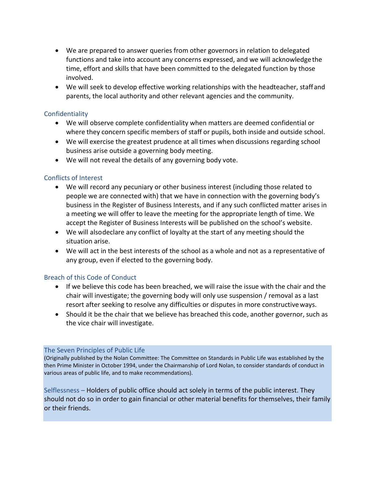- We are prepared to answer queries from other governors in relation to delegated functions and take into account any concerns expressed, and we will acknowledgethe time, effort and skills that have been committed to the delegated function by those involved.
- We will seek to develop effective working relationships with the headteacher, staffand parents, the local authority and other relevant agencies and the community.

#### **Confidentiality**

- We will observe complete confidentiality when matters are deemed confidential or where they concern specific members of staff or pupils, both inside and outside school.
- We will exercise the greatest prudence at all times when discussions regarding school business arise outside a governing body meeting.
- We will not reveal the details of any governing body vote.

#### Conflicts of Interest

- We will record any pecuniary or other business interest (including those related to people we are connected with) that we have in connection with the governing body's business in the Register of Business Interests, and if any such conflicted matter arises in a meeting we will offer to leave the meeting for the appropriate length of time. We accept the Register of Business Interests will be published on the school's website.
- We will alsodeclare any conflict of loyalty at the start of any meeting should the situation arise.
- We will act in the best interests of the school as a whole and not as a representative of any group, even if elected to the governing body.

#### Breach of this Code of Conduct

- If we believe this code has been breached, we will raise the issue with the chair and the chair will investigate; the governing body will only use suspension / removal as a last resort after seeking to resolve any difficulties or disputes in more constructiveways.
- Should it be the chair that we believe has breached this code, another governor, such as the vice chair will investigate.

#### The Seven Principles of Public Life

(Originally published by the Nolan Committee: The Committee on Standards in Public Life was established by the then Prime Minister in October 1994, under the Chairmanship of Lord Nolan, to consider standards of conduct in various areas of public life, and to make recommendations).

Selflessness – Holders of public office should act solely in terms of the public interest. They should not do so in order to gain financial or other material benefits for themselves, their family or their friends.